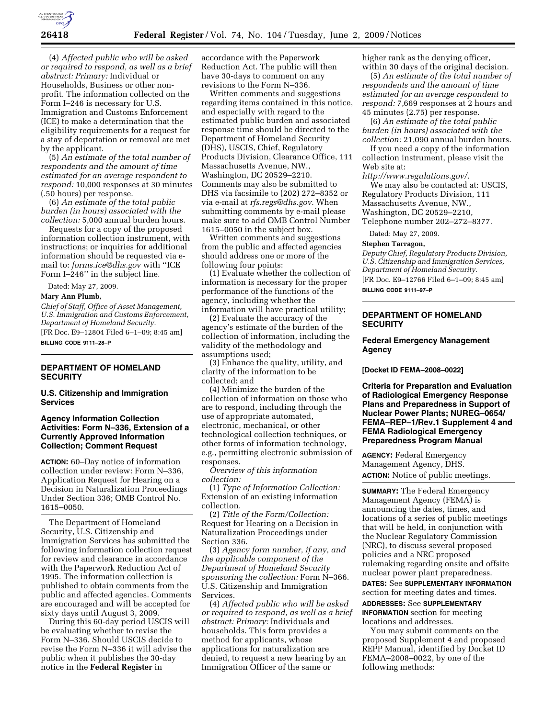

(4) *Affected public who will be asked or required to respond, as well as a brief abstract: Primary:* Individual or Households, Business or other nonprofit. The information collected on the Form I–246 is necessary for U.S. Immigration and Customs Enforcement (ICE) to make a determination that the eligibility requirements for a request for a stay of deportation or removal are met by the applicant.

(5) *An estimate of the total number of respondents and the amount of time estimated for an average respondent to respond:* 10,000 responses at 30 minutes (.50 hours) per response.

(6) *An estimate of the total public burden (in hours) associated with the collection:* 5,000 annual burden hours.

Requests for a copy of the proposed information collection instrument, with instructions; or inquiries for additional information should be requested via email to: *forms.ice@dhs.gov* with ''ICE Form I–246'' in the subject line.

Dated: May 27, 2009.

#### **Mary Ann Plumb,**

*Chief of Staff, Office of Asset Management, U.S. Immigration and Customs Enforcement, Department of Homeland Security.*  [FR Doc. E9–12804 Filed 6–1–09; 8:45 am] **BILLING CODE 9111–28–P** 

# **DEPARTMENT OF HOMELAND SECURITY**

### **U.S. Citizenship and Immigration Services**

## **Agency Information Collection Activities: Form N–336, Extension of a Currently Approved Information Collection; Comment Request**

**ACTION:** 60–Day notice of information collection under review: Form N–336, Application Request for Hearing on a Decision in Naturalization Proceedings Under Section 336; OMB Control No. 1615–0050.

The Department of Homeland Security, U.S. Citizenship and Immigration Services has submitted the following information collection request for review and clearance in accordance with the Paperwork Reduction Act of 1995. The information collection is published to obtain comments from the public and affected agencies. Comments are encouraged and will be accepted for sixty days until August 3, 2009.

During this 60-day period USCIS will be evaluating whether to revise the Form N–336. Should USCIS decide to revise the Form N–336 it will advise the public when it publishes the 30-day notice in the **Federal Register** in

accordance with the Paperwork Reduction Act. The public will then have 30-days to comment on any revisions to the Form N–336.

Written comments and suggestions regarding items contained in this notice, and especially with regard to the estimated public burden and associated response time should be directed to the Department of Homeland Security (DHS), USCIS, Chief, Regulatory Products Division, Clearance Office, 111 Massachusetts Avenue, NW., Washington, DC 20529–2210. Comments may also be submitted to DHS via facsimile to (202) 272–8352 or via e-mail at *rfs.regs@dhs.gov.* When submitting comments by e-mail please make sure to add OMB Control Number 1615–0050 in the subject box.

Written comments and suggestions from the public and affected agencies should address one or more of the following four points:

(1) Evaluate whether the collection of information is necessary for the proper performance of the functions of the agency, including whether the information will have practical utility;

(2) Evaluate the accuracy of the agency's estimate of the burden of the collection of information, including the validity of the methodology and assumptions used;

(3) Enhance the quality, utility, and clarity of the information to be collected; and

(4) Minimize the burden of the collection of information on those who are to respond, including through the use of appropriate automated, electronic, mechanical, or other technological collection techniques, or other forms of information technology, e.g., permitting electronic submission of responses.

*Overview of this information collection:* 

(1) *Type of Information Collection:*  Extension of an existing information collection.

(2) *Title of the Form/Collection:*  Request for Hearing on a Decision in Naturalization Proceedings under Section 336.

(3) *Agency form number, if any, and the applicable component of the Department of Homeland Security sponsoring the collection:* Form N–366. U.S. Citizenship and Immigration Services.

(4) *Affected public who will be asked or required to respond, as well as a brief abstract: Primary:* Individuals and households. This form provides a method for applicants, whose applications for naturalization are denied, to request a new hearing by an Immigration Officer of the same or

higher rank as the denying officer, within 30 days of the original decision.

(5) *An estimate of the total number of respondents and the amount of time estimated for an average respondent to respond:* 7,669 responses at 2 hours and 45 minutes (2.75) per response.

(6) *An estimate of the total public burden (in hours) associated with the collection:* 21,090 annual burden hours.

If you need a copy of the information collection instrument, please visit the Web site at:

*http://www.regulations.gov/.* 

We may also be contacted at: USCIS, Regulatory Products Division, 111 Massachusetts Avenue, NW., Washington, DC 20529–2210, Telephone number 202–272–8377.

Dated: May 27, 2009.

### **Stephen Tarragon,**

*Deputy Chief, Regulatory Products Division, U.S. Citizenship and Immigration Services, Department of Homeland Security.*  [FR Doc. E9–12766 Filed 6–1–09; 8:45 am]

**BILLING CODE 9111–97–P** 

## **DEPARTMENT OF HOMELAND SECURITY**

### **Federal Emergency Management Agency**

**[Docket ID FEMA–2008–0022]** 

**Criteria for Preparation and Evaluation of Radiological Emergency Response Plans and Preparedness in Support of Nuclear Power Plants; NUREG–0654/ FEMA–REP–1/Rev.1 Supplement 4 and FEMA Radiological Emergency Preparedness Program Manual** 

**AGENCY:** Federal Emergency Management Agency, DHS. **ACTION:** Notice of public meetings.

**SUMMARY:** The Federal Emergency Management Agency (FEMA) is announcing the dates, times, and locations of a series of public meetings that will be held, in conjunction with the Nuclear Regulatory Commission (NRC), to discuss several proposed policies and a NRC proposed rulemaking regarding onsite and offsite nuclear power plant preparedness.

**DATES:** See **SUPPLEMENTARY INFORMATION** section for meeting dates and times.

**ADDRESSES:** See **SUPPLEMENTARY INFORMATION** section for meeting locations and addresses.

You may submit comments on the proposed Supplement 4 and proposed REPP Manual, identified by Docket ID FEMA–2008–0022, by one of the following methods: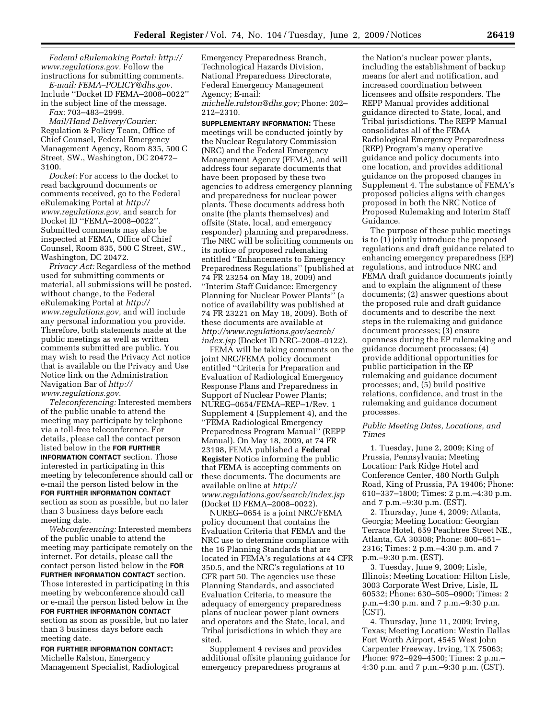*Federal eRulemaking Portal: http:// www.regulations.gov.* Follow the instructions for submitting comments.

*E-mail: FEMA–POLICY@dhs.gov.*  Include ''Docket ID FEMA–2008–0022'' in the subject line of the message.

*Fax:* 703–483–2999.

*Mail/Hand Delivery/Courier:*  Regulation & Policy Team, Office of Chief Counsel, Federal Emergency Management Agency, Room 835, 500 C Street, SW., Washington, DC 20472– 3100.

*Docket:* For access to the docket to read background documents or comments received, go to the Federal eRulemaking Portal at *http:// www.regulations.gov,* and search for Docket ID ''FEMA–2008–0022''. Submitted comments may also be inspected at FEMA, Office of Chief Counsel, Room 835, 500 C Street, SW., Washington, DC 20472.

*Privacy Act:* Regardless of the method used for submitting comments or material, all submissions will be posted, without change, to the Federal eRulemaking Portal at *http:// www.regulations.gov,* and will include any personal information you provide. Therefore, both statements made at the public meetings as well as written comments submitted are public. You may wish to read the Privacy Act notice that is available on the Privacy and Use Notice link on the Administration Navigation Bar of *http:// www.regulations.gov.* 

*Teleconferencing:* Interested members of the public unable to attend the meeting may participate by telephone via a toll-free teleconference. For details, please call the contact person listed below in the **FOR FURTHER INFORMATION CONTACT** section. Those interested in participating in this meeting by teleconference should call or e-mail the person listed below in the **FOR FURTHER INFORMATION CONTACT** section as soon as possible, but no later than 3 business days before each meeting date.

*Webconferencing:* Interested members of the public unable to attend the meeting may participate remotely on the internet. For details, please call the contact person listed below in the **FOR FURTHER INFORMATION CONTACT** section. Those interested in participating in this meeting by webconference should call or e-mail the person listed below in the **FOR FURTHER INFORMATION CONTACT** section as soon as possible, but no later than 3 business days before each meeting date.

**FOR FURTHER INFORMATION CONTACT:**  Michelle Ralston, Emergency Management Specialist, Radiological Emergency Preparedness Branch, Technological Hazards Division, National Preparedness Directorate, Federal Emergency Management Agency; E-mail:

*michelle.ralston@dhs.gov;* Phone: 202– 212–2310.

**SUPPLEMENTARY INFORMATION:** These meetings will be conducted jointly by the Nuclear Regulatory Commission (NRC) and the Federal Emergency Management Agency (FEMA), and will address four separate documents that have been proposed by these two agencies to address emergency planning and preparedness for nuclear power plants. These documents address both onsite (the plants themselves) and offsite (State, local, and emergency responder) planning and preparedness. The NRC will be soliciting comments on its notice of proposed rulemaking entitled ''Enhancements to Emergency Preparedness Regulations'' (published at 74 FR 23254 on May 18, 2009) and ''Interim Staff Guidance: Emergency Planning for Nuclear Power Plants'' (a notice of availability was published at 74 FR 23221 on May 18, 2009). Both of these documents are available at *http://www.regulations.gov/search/ index.jsp* (Docket ID NRC–2008–0122).

FEMA will be taking comments on the joint NRC/FEMA policy document entitled ''Criteria for Preparation and Evaluation of Radiological Emergency Response Plans and Preparedness in Support of Nuclear Power Plants; NUREG–0654/FEMA–REP–1/Rev. 1 Supplement 4 (Supplement 4), and the ''FEMA Radiological Emergency Preparedness Program Manual'' (REPP Manual). On May 18, 2009, at 74 FR 23198, FEMA published a **Federal Register** Notice informing the public that FEMA is accepting comments on these documents. The documents are available online at *http:// www.regulations.gov/search/index.jsp*  (Docket ID FEMA–2008–0022).

NUREG–0654 is a joint NRC/FEMA policy document that contains the Evaluation Criteria that FEMA and the NRC use to determine compliance with the 16 Planning Standards that are located in FEMA's regulations at 44 CFR 350.5, and the NRC's regulations at 10 CFR part 50. The agencies use these Planning Standards, and associated Evaluation Criteria, to measure the adequacy of emergency preparedness plans of nuclear power plant owners and operators and the State, local, and Tribal jurisdictions in which they are sited.

Supplement 4 revises and provides additional offsite planning guidance for emergency preparedness programs at

the Nation's nuclear power plants, including the establishment of backup means for alert and notification, and increased coordination between licensees and offsite responders. The REPP Manual provides additional guidance directed to State, local, and Tribal jurisdictions. The REPP Manual consolidates all of the FEMA Radiological Emergency Preparedness (REP) Program's many operative guidance and policy documents into one location, and provides additional guidance on the proposed changes in Supplement 4. The substance of FEMA's proposed policies aligns with changes proposed in both the NRC Notice of Proposed Rulemaking and Interim Staff Guidance.

The purpose of these public meetings is to (1) jointly introduce the proposed regulations and draft guidance related to enhancing emergency preparedness (EP) regulations, and introduce NRC and FEMA draft guidance documents jointly and to explain the alignment of these documents; (2) answer questions about the proposed rule and draft guidance documents and to describe the next steps in the rulemaking and guidance document processes; (3) ensure openness during the EP rulemaking and guidance document processes; (4) provide additional opportunities for public participation in the EP rulemaking and guidance document processes; and, (5) build positive relations, confidence, and trust in the rulemaking and guidance document processes.

### *Public Meeting Dates, Locations, and Times*

1. Tuesday, June 2, 2009; King of Prussia, Pennsylvania; Meeting Location: Park Ridge Hotel and Conference Center, 480 North Gulph Road, King of Prussia, PA 19406; Phone: 610–337–1800; Times: 2 p.m.–4:30 p.m. and 7 p.m.–9:30 p.m. (EST).

2. Thursday, June 4, 2009; Atlanta, Georgia; Meeting Location: Georgian Terrace Hotel, 659 Peachtree Street NE., Atlanta, GA 30308; Phone: 800–651– 2316; Times: 2 p.m.–4:30 p.m. and 7 p.m.–9:30 p.m. (EST).

3. Tuesday, June 9, 2009; Lisle, Illinois; Meeting Location: Hilton Lisle, 3003 Corporate West Drive, Lisle, IL 60532; Phone: 630–505–0900; Times: 2 p.m.–4:30 p.m. and 7 p.m.–9:30 p.m. (CST).

4. Thursday, June 11, 2009; Irving, Texas; Meeting Location: Westin Dallas Fort Worth Airport, 4545 West John Carpenter Freeway, Irving, TX 75063; Phone: 972–929–4500; Times: 2 p.m.– 4:30 p.m. and 7 p.m.–9:30 p.m. (CST).